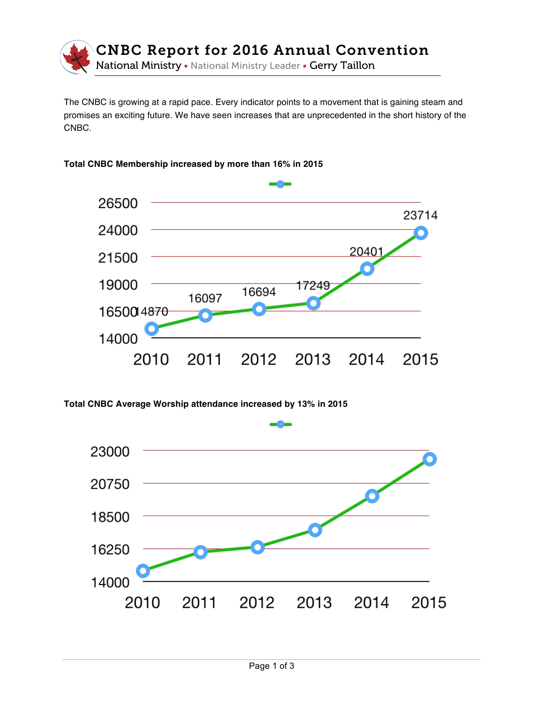

The CNBC is growing at a rapid pace. Every indicator points to a movement that is gaining steam and promises an exciting future. We have seen increases that are unprecedented in the short history of the CNBC.





**Total CNBC Average Worship attendance increased by 13% in 2015**

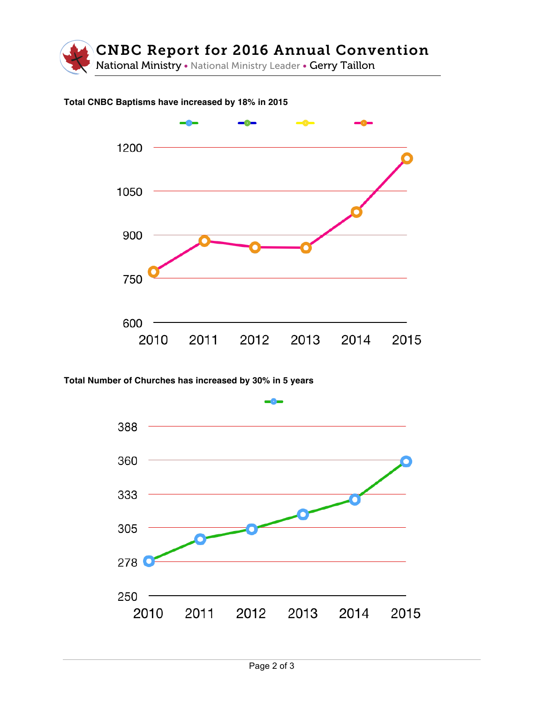

## **Total CNBC Baptisms have increased by 18% in 2015**



**Total Number of Churches has increased by 30% in 5 years**